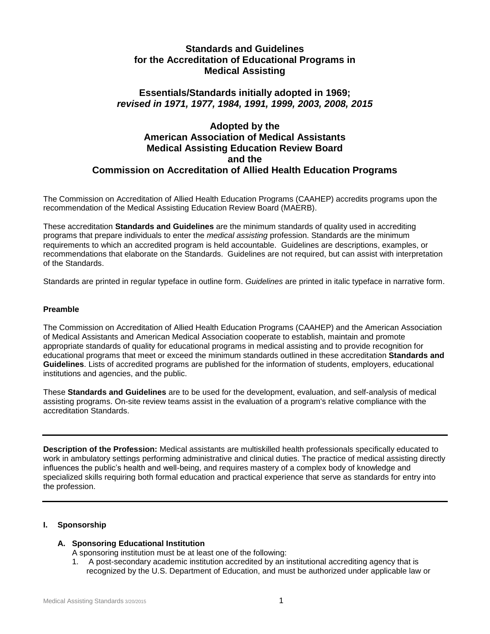## **Standards and Guidelines for the Accreditation of Educational Programs in Medical Assisting**

## **Essentials/Standards initially adopted in 1969;** *revised in 1971, 1977, 1984, 1991, 1999, 2003, 2008, 2015*

## **Adopted by the American Association of Medical Assistants Medical Assisting Education Review Board and the Commission on Accreditation of Allied Health Education Programs**

The Commission on Accreditation of Allied Health Education Programs (CAAHEP) accredits programs upon the recommendation of the Medical Assisting Education Review Board (MAERB).

These accreditation **Standards and Guidelines** are the minimum standards of quality used in accrediting programs that prepare individuals to enter the *medical assisting* profession. Standards are the minimum requirements to which an accredited program is held accountable. Guidelines are descriptions, examples, or recommendations that elaborate on the Standards. Guidelines are not required, but can assist with interpretation of the Standards.

Standards are printed in regular typeface in outline form. *Guidelines* are printed in italic typeface in narrative form.

## **Preamble**

The Commission on Accreditation of Allied Health Education Programs (CAAHEP) and the American Association of Medical Assistants and American Medical Association cooperate to establish, maintain and promote appropriate standards of quality for educational programs in medical assisting and to provide recognition for educational programs that meet or exceed the minimum standards outlined in these accreditation **Standards and Guidelines**. Lists of accredited programs are published for the information of students, employers, educational institutions and agencies, and the public.

These **Standards and Guidelines** are to be used for the development, evaluation, and self-analysis of medical assisting programs. On-site review teams assist in the evaluation of a program's relative compliance with the accreditation Standards.

**Description of the Profession:** Medical assistants are multiskilled health professionals specifically educated to work in ambulatory settings performing administrative and clinical duties. The practice of medical assisting directly influences the public's health and well-being, and requires mastery of a complex body of knowledge and specialized skills requiring both formal education and practical experience that serve as standards for entry into the profession.

## **I. Sponsorship**

## **A. Sponsoring Educational Institution**

- A sponsoring institution must be at least one of the following:
- 1. A post-secondary academic institution accredited by an institutional accrediting agency that is recognized by the U.S. Department of Education, and must be authorized under applicable law or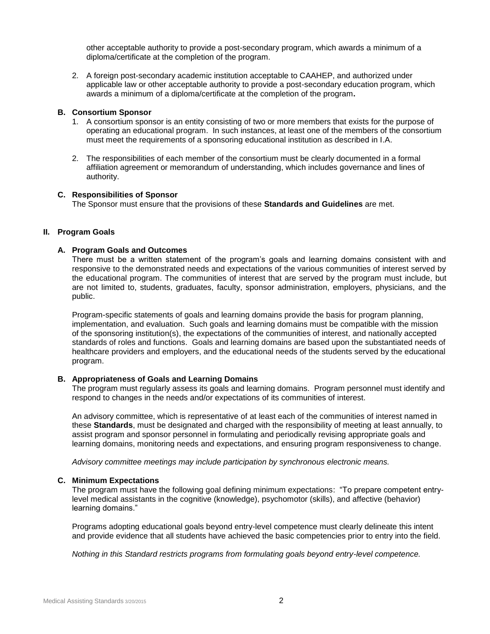other acceptable authority to provide a post-secondary program, which awards a minimum of a diploma/certificate at the completion of the program.

2. A foreign post-secondary academic institution acceptable to CAAHEP, and authorized under applicable law or other acceptable authority to provide a post-secondary education program, which awards a minimum of a diploma/certificate at the completion of the program**.**

## **B. Consortium Sponsor**

- 1. A consortium sponsor is an entity consisting of two or more members that exists for the purpose of operating an educational program. In such instances, at least one of the members of the consortium must meet the requirements of a sponsoring educational institution as described in I.A.
- 2. The responsibilities of each member of the consortium must be clearly documented in a formal affiliation agreement or memorandum of understanding, which includes governance and lines of authority.

### **C. Responsibilities of Sponsor**

The Sponsor must ensure that the provisions of these **Standards and Guidelines** are met.

## **II. Program Goals**

### **A. Program Goals and Outcomes**

There must be a written statement of the program's goals and learning domains consistent with and responsive to the demonstrated needs and expectations of the various communities of interest served by the educational program. The communities of interest that are served by the program must include, but are not limited to, students, graduates, faculty, sponsor administration, employers, physicians, and the public.

Program-specific statements of goals and learning domains provide the basis for program planning, implementation, and evaluation. Such goals and learning domains must be compatible with the mission of the sponsoring institution(s), the expectations of the communities of interest, and nationally accepted standards of roles and functions. Goals and learning domains are based upon the substantiated needs of healthcare providers and employers, and the educational needs of the students served by the educational program.

#### **B. Appropriateness of Goals and Learning Domains**

The program must regularly assess its goals and learning domains. Program personnel must identify and respond to changes in the needs and/or expectations of its communities of interest.

An advisory committee, which is representative of at least each of the communities of interest named in these **Standards**, must be designated and charged with the responsibility of meeting at least annually, to assist program and sponsor personnel in formulating and periodically revising appropriate goals and learning domains, monitoring needs and expectations, and ensuring program responsiveness to change.

*Advisory committee meetings may include participation by synchronous electronic means.*

#### **C. Minimum Expectations**

The program must have the following goal defining minimum expectations: "To prepare competent entrylevel medical assistants in the cognitive (knowledge), psychomotor (skills), and affective (behavior) learning domains."

Programs adopting educational goals beyond entry-level competence must clearly delineate this intent and provide evidence that all students have achieved the basic competencies prior to entry into the field.

*Nothing in this Standard restricts programs from formulating goals beyond entry-level competence.*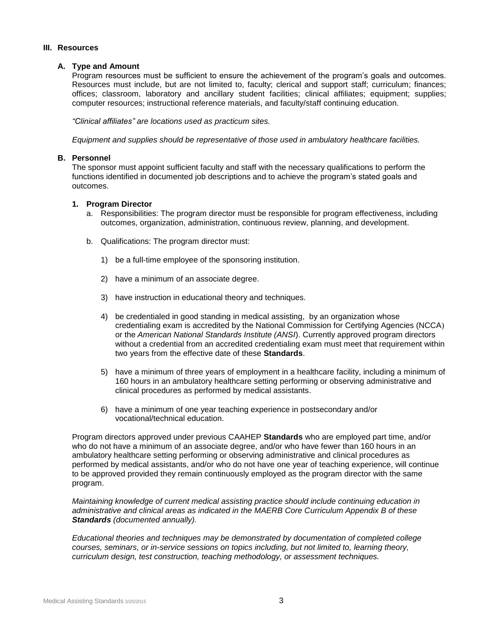#### **III. Resources**

## **A. Type and Amount**

Program resources must be sufficient to ensure the achievement of the program's goals and outcomes. Resources must include, but are not limited to, faculty; clerical and support staff; curriculum; finances; offices; classroom, laboratory and ancillary student facilities; clinical affiliates; equipment; supplies; computer resources; instructional reference materials, and faculty/staff continuing education.

*"Clinical affiliates" are locations used as practicum sites.*

*Equipment and supplies should be representative of those used in ambulatory healthcare facilities.* 

## **B. Personnel**

The sponsor must appoint sufficient faculty and staff with the necessary qualifications to perform the functions identified in documented job descriptions and to achieve the program's stated goals and outcomes.

### **1. Program Director**

- a. Responsibilities: The program director must be responsible for program effectiveness, including outcomes, organization, administration, continuous review, planning, and development.
- b. Qualifications: The program director must:
	- 1) be a full-time employee of the sponsoring institution.
	- 2) have a minimum of an associate degree.
	- 3) have instruction in educational theory and techniques.
	- 4) be credentialed in good standing in medical assisting, by an organization whose credentialing exam is accredited by the National Commission for Certifying Agencies (NCCA) or the *American National Standards Institute (ANSI*). Currently approved program directors without a credential from an accredited credentialing exam must meet that requirement within two years from the effective date of these **Standards**.
	- 5) have a minimum of three years of employment in a healthcare facility, including a minimum of 160 hours in an ambulatory healthcare setting performing or observing administrative and clinical procedures as performed by medical assistants.
	- 6) have a minimum of one year teaching experience in postsecondary and/or vocational/technical education.

Program directors approved under previous CAAHEP **Standards** who are employed part time, and/or who do not have a minimum of an associate degree, and/or who have fewer than 160 hours in an ambulatory healthcare setting performing or observing administrative and clinical procedures as performed by medical assistants, and/or who do not have one year of teaching experience, will continue to be approved provided they remain continuously employed as the program director with the same program.

*Maintaining knowledge of current medical assisting practice should include continuing education in administrative and clinical areas as indicated in the MAERB Core Curriculum Appendix B of these Standards (documented annually).*

*Educational theories and techniques may be demonstrated by documentation of completed college courses, seminars, or in-service sessions on topics including, but not limited to, learning theory, curriculum design, test construction, teaching methodology, or assessment techniques.*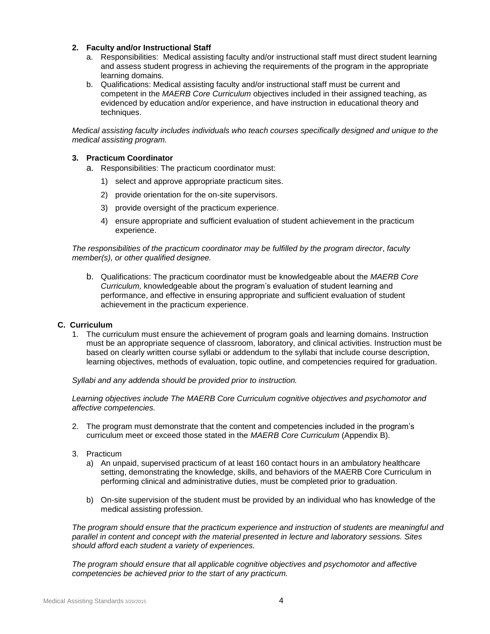## **2. Faculty and/or Instructional Staff**

- a. Responsibilities: Medical assisting faculty and/or instructional staff must direct student learning and assess student progress in achieving the requirements of the program in the appropriate learning domains.
- b. Qualifications: Medical assisting faculty and/or instructional staff must be current and competent in the *MAERB Core Curriculum* objectives included in their assigned teaching, as evidenced by education and/or experience, and have instruction in educational theory and techniques.

*Medical assisting faculty includes individuals who teach courses specifically designed and unique to the medical assisting program.* 

## **3. Practicum Coordinator**

- a. Responsibilities: The practicum coordinator must:
	- 1) select and approve appropriate practicum sites.
	- 2) provide orientation for the on-site supervisors.
	- 3) provide oversight of the practicum experience.
	- 4) ensure appropriate and sufficient evaluation of student achievement in the practicum experience.

## *The responsibilities of the practicum coordinator may be fulfilled by the program director*, *faculty member(s), or other qualified designee.*

b. Qualifications: The practicum coordinator must be knowledgeable about the *MAERB Core Curriculum,* knowledgeable about the program's evaluation of student learning and performance, and effective in ensuring appropriate and sufficient evaluation of student achievement in the practicum experience.

## **C. Curriculum**

1. The curriculum must ensure the achievement of program goals and learning domains. Instruction must be an appropriate sequence of classroom, laboratory, and clinical activities. Instruction must be based on clearly written course syllabi or addendum to the syllabi that include course description, learning objectives, methods of evaluation, topic outline, and competencies required for graduation.

*Syllabi and any addenda should be provided prior to instruction.* 

*Learning objectives include The MAERB Core Curriculum cognitive objectives and psychomotor and affective competencies.*

- 2. The program must demonstrate that the content and competencies included in the program's curriculum meet or exceed those stated in the *MAERB Core Curriculum* (Appendix B).
- 3. Practicum
	- a) An unpaid, supervised practicum of at least 160 contact hours in an ambulatory healthcare setting, demonstrating the knowledge, skills, and behaviors of the MAERB Core Curriculum in performing clinical and administrative duties, must be completed prior to graduation.
	- b) On-site supervision of the student must be provided by an individual who has knowledge of the medical assisting profession.

*The program should ensure that the practicum experience and instruction of students are meaningful and parallel in content and concept with the material presented in lecture and laboratory sessions. Sites should afford each student a variety of experiences.*

*The program should ensure that all applicable cognitive objectives and psychomotor and affective competencies be achieved prior to the start of any practicum.*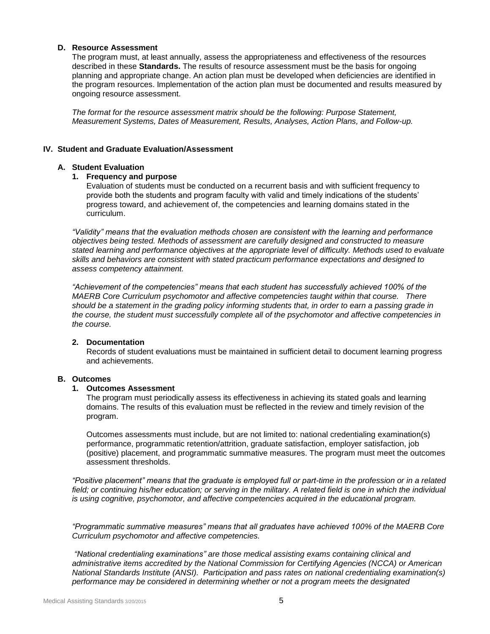### **D. Resource Assessment**

The program must, at least annually, assess the appropriateness and effectiveness of the resources described in these **Standards.** The results of resource assessment must be the basis for ongoing planning and appropriate change. An action plan must be developed when deficiencies are identified in the program resources. Implementation of the action plan must be documented and results measured by ongoing resource assessment.

*The format for the resource assessment matrix should be the following: Purpose Statement, Measurement Systems, Dates of Measurement, Results, Analyses, Action Plans, and Follow-up.*

## **IV. Student and Graduate Evaluation/Assessment**

### **A. Student Evaluation**

### **1. Frequency and purpose**

Evaluation of students must be conducted on a recurrent basis and with sufficient frequency to provide both the students and program faculty with valid and timely indications of the students' progress toward, and achievement of, the competencies and learning domains stated in the curriculum.

*"Validity" means that the evaluation methods chosen are consistent with the learning and performance objectives being tested. Methods of assessment are carefully designed and constructed to measure stated learning and performance objectives at the appropriate level of difficulty. Methods used to evaluate skills and behaviors are consistent with stated practicum performance expectations and designed to assess competency attainment.*

*"Achievement of the competencies" means that each student has successfully achieved 100% of the MAERB Core Curriculum psychomotor and affective competencies taught within that course. There should be a statement in the grading policy informing students that, in order to earn a passing grade in the course, the student must successfully complete all of the psychomotor and affective competencies in the course.*

## **2. Documentation**

Records of student evaluations must be maintained in sufficient detail to document learning progress and achievements.

## **B. Outcomes**

## **1. Outcomes Assessment**

The program must periodically assess its effectiveness in achieving its stated goals and learning domains. The results of this evaluation must be reflected in the review and timely revision of the program.

Outcomes assessments must include, but are not limited to: national credentialing examination(s) performance, programmatic retention/attrition, graduate satisfaction, employer satisfaction, job (positive) placement, and programmatic summative measures. The program must meet the outcomes assessment thresholds.

*"Positive placement" means that the graduate is employed full or part-time in the profession or in a related*  field; or continuing his/her education; or serving in the military. A related field is one in which the individual *is using cognitive, psychomotor, and affective competencies acquired in the educational program.*

*"Programmatic summative measures" means that all graduates have achieved 100% of the MAERB Core Curriculum psychomotor and affective competencies.* 

*"National credentialing examinations" are those medical assisting exams containing clinical and administrative items accredited by the National Commission for Certifying Agencies (NCCA) or American National Standards Institute (ANSI). Participation and pass rates on national credentialing examination(s) performance may be considered in determining whether or not a program meets the designated*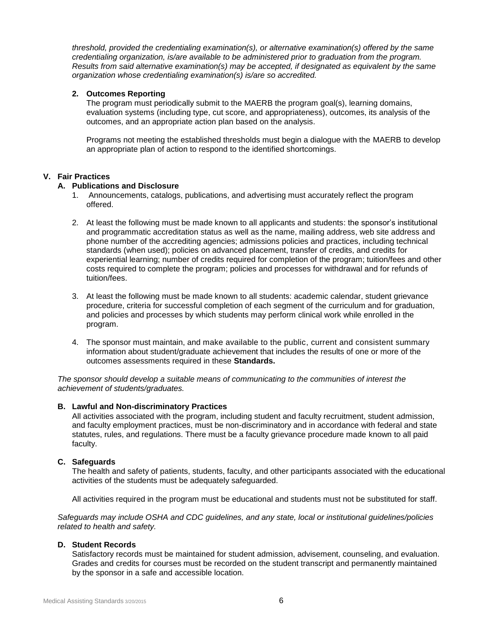*threshold, provided the credentialing examination(s), or alternative examination(s) offered by the same credentialing organization, is/are available to be administered prior to graduation from the program. Results from said alternative examination(s) may be accepted, if designated as equivalent by the same organization whose credentialing examination(s) is/are so accredited.*

## **2. Outcomes Reporting**

The program must periodically submit to the MAERB the program goal(s), learning domains, evaluation systems (including type, cut score, and appropriateness), outcomes, its analysis of the outcomes, and an appropriate action plan based on the analysis.

Programs not meeting the established thresholds must begin a dialogue with the MAERB to develop an appropriate plan of action to respond to the identified shortcomings.

## **V. Fair Practices**

## **A. Publications and Disclosure**

- 1. Announcements, catalogs, publications, and advertising must accurately reflect the program offered.
- 2. At least the following must be made known to all applicants and students: the sponsor's institutional and programmatic accreditation status as well as the name, mailing address, web site address and phone number of the accrediting agencies; admissions policies and practices, including technical standards (when used); policies on advanced placement, transfer of credits, and credits for experiential learning; number of credits required for completion of the program; tuition/fees and other costs required to complete the program; policies and processes for withdrawal and for refunds of tuition/fees.
- 3. At least the following must be made known to all students: academic calendar, student grievance procedure, criteria for successful completion of each segment of the curriculum and for graduation, and policies and processes by which students may perform clinical work while enrolled in the program.
- 4. The sponsor must maintain, and make available to the public, current and consistent summary information about student/graduate achievement that includes the results of one or more of the outcomes assessments required in these **Standards.**

*The sponsor should develop a suitable means of communicating to the communities of interest the achievement of students/graduates.*

## **B. Lawful and Non-discriminatory Practices**

All activities associated with the program, including student and faculty recruitment, student admission, and faculty employment practices, must be non-discriminatory and in accordance with federal and state statutes, rules, and regulations. There must be a faculty grievance procedure made known to all paid faculty.

## **C. Safeguards**

The health and safety of patients, students, faculty, and other participants associated with the educational activities of the students must be adequately safeguarded.

All activities required in the program must be educational and students must not be substituted for staff.

*Safeguards may include OSHA and CDC guidelines, and any state, local or institutional guidelines/policies related to health and safety.*

## **D. Student Records**

Satisfactory records must be maintained for student admission, advisement, counseling, and evaluation. Grades and credits for courses must be recorded on the student transcript and permanently maintained by the sponsor in a safe and accessible location.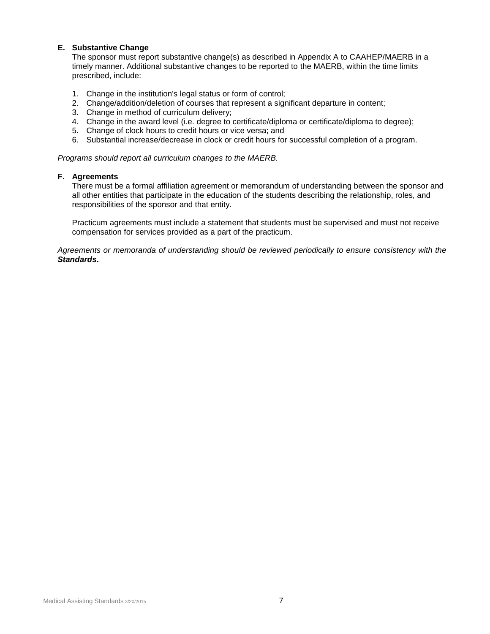## **E. Substantive Change**

The sponsor must report substantive change(s) as described in Appendix A to CAAHEP/MAERB in a timely manner. Additional substantive changes to be reported to the MAERB, within the time limits prescribed, include:

- 1. Change in the institution's legal status or form of control;
- 2. Change/addition/deletion of courses that represent a significant departure in content;
- 3. Change in method of curriculum delivery;
- 4. Change in the award level (i.e. degree to certificate/diploma or certificate/diploma to degree);
- 5. Change of clock hours to credit hours or vice versa; and
- 6. Substantial increase/decrease in clock or credit hours for successful completion of a program.

*Programs should report all curriculum changes to the MAERB.*

## **F. Agreements**

There must be a formal affiliation agreement or memorandum of understanding between the sponsor and all other entities that participate in the education of the students describing the relationship, roles, and responsibilities of the sponsor and that entity.

Practicum agreements must include a statement that students must be supervised and must not receive compensation for services provided as a part of the practicum.

*Agreements or memoranda of understanding should be reviewed periodically to ensure consistency with the Standards***.**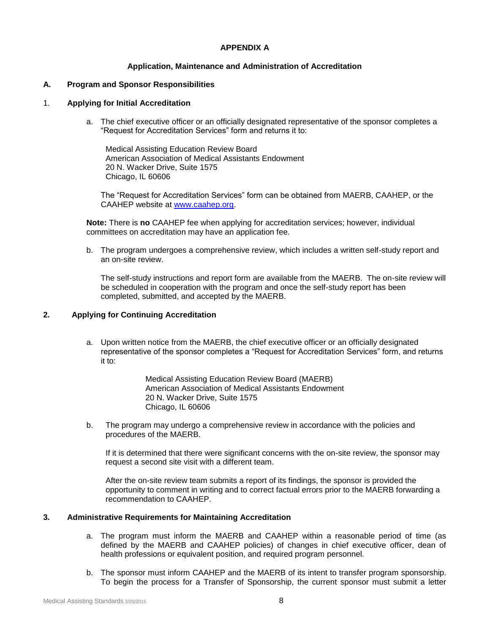## **APPENDIX A**

## **Application, Maintenance and Administration of Accreditation**

### **A. Program and Sponsor Responsibilities**

#### 1. **Applying for Initial Accreditation**

a. The chief executive officer or an officially designated representative of the sponsor completes a "Request for Accreditation Services" form and returns it to:

Medical Assisting Education Review Board American Association of Medical Assistants Endowment 20 N. Wacker Drive, Suite 1575 Chicago, IL 60606

The "Request for Accreditation Services" form can be obtained from MAERB, CAAHEP, or the CAAHEP website at www.caahep.org.

**Note:** There is **no** CAAHEP fee when applying for accreditation services; however, individual committees on accreditation may have an application fee.

b. The program undergoes a comprehensive review, which includes a written self-study report and an on-site review.

The self-study instructions and report form are available from the MAERB. The on-site review will be scheduled in cooperation with the program and once the self-study report has been completed, submitted, and accepted by the MAERB.

### **2. Applying for Continuing Accreditation**

a. Upon written notice from the MAERB, the chief executive officer or an officially designated representative of the sponsor completes a "Request for Accreditation Services" form, and returns it to:

> Medical Assisting Education Review Board (MAERB) American Association of Medical Assistants Endowment 20 N. Wacker Drive, Suite 1575 Chicago, IL 60606

b. The program may undergo a comprehensive review in accordance with the policies and procedures of the MAERB.

If it is determined that there were significant concerns with the on-site review, the sponsor may request a second site visit with a different team.

After the on-site review team submits a report of its findings, the sponsor is provided the opportunity to comment in writing and to correct factual errors prior to the MAERB forwarding a recommendation to CAAHEP.

## **3. Administrative Requirements for Maintaining Accreditation**

- a. The program must inform the MAERB and CAAHEP within a reasonable period of time (as defined by the MAERB and CAAHEP policies) of changes in chief executive officer, dean of health professions or equivalent position, and required program personnel.
- b. The sponsor must inform CAAHEP and the MAERB of its intent to transfer program sponsorship. To begin the process for a Transfer of Sponsorship, the current sponsor must submit a letter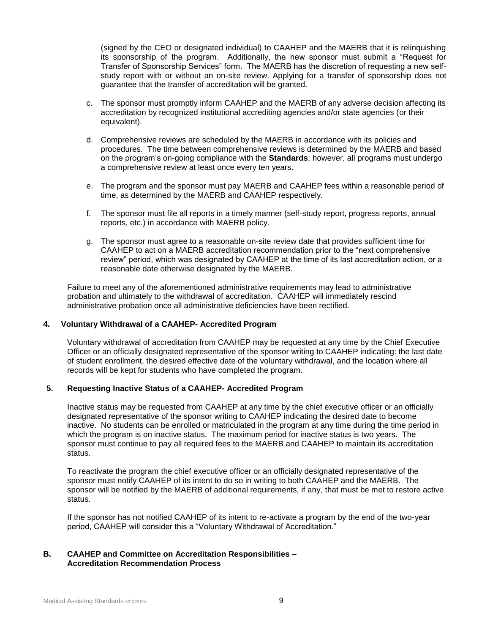(signed by the CEO or designated individual) to CAAHEP and the MAERB that it is relinquishing its sponsorship of the program. Additionally, the new sponsor must submit a "Request for Transfer of Sponsorship Services" form. The MAERB has the discretion of requesting a new selfstudy report with or without an on-site review. Applying for a transfer of sponsorship does not guarantee that the transfer of accreditation will be granted.

- c. The sponsor must promptly inform CAAHEP and the MAERB of any adverse decision affecting its accreditation by recognized institutional accrediting agencies and/or state agencies (or their equivalent).
- d. Comprehensive reviews are scheduled by the MAERB in accordance with its policies and procedures. The time between comprehensive reviews is determined by the MAERB and based on the program's on-going compliance with the **Standards**; however, all programs must undergo a comprehensive review at least once every ten years.
- e. The program and the sponsor must pay MAERB and CAAHEP fees within a reasonable period of time, as determined by the MAERB and CAAHEP respectively.
- f. The sponsor must file all reports in a timely manner (self-study report, progress reports, annual reports, etc.) in accordance with MAERB policy.
- g. The sponsor must agree to a reasonable on-site review date that provides sufficient time for CAAHEP to act on a MAERB accreditation recommendation prior to the "next comprehensive review" period, which was designated by CAAHEP at the time of its last accreditation action, or a reasonable date otherwise designated by the MAERB.

Failure to meet any of the aforementioned administrative requirements may lead to administrative probation and ultimately to the withdrawal of accreditation. CAAHEP will immediately rescind administrative probation once all administrative deficiencies have been rectified.

## **4. Voluntary Withdrawal of a CAAHEP- Accredited Program**

Voluntary withdrawal of accreditation from CAAHEP may be requested at any time by the Chief Executive Officer or an officially designated representative of the sponsor writing to CAAHEP indicating: the last date of student enrollment, the desired effective date of the voluntary withdrawal, and the location where all records will be kept for students who have completed the program.

## **5. Requesting Inactive Status of a CAAHEP- Accredited Program**

Inactive status may be requested from CAAHEP at any time by the chief executive officer or an officially designated representative of the sponsor writing to CAAHEP indicating the desired date to become inactive. No students can be enrolled or matriculated in the program at any time during the time period in which the program is on inactive status. The maximum period for inactive status is two years. The sponsor must continue to pay all required fees to the MAERB and CAAHEP to maintain its accreditation status.

To reactivate the program the chief executive officer or an officially designated representative of the sponsor must notify CAAHEP of its intent to do so in writing to both CAAHEP and the MAERB. The sponsor will be notified by the MAERB of additional requirements, if any, that must be met to restore active status.

If the sponsor has not notified CAAHEP of its intent to re-activate a program by the end of the two-year period, CAAHEP will consider this a "Voluntary Withdrawal of Accreditation."

## **B. CAAHEP and Committee on Accreditation Responsibilities – Accreditation Recommendation Process**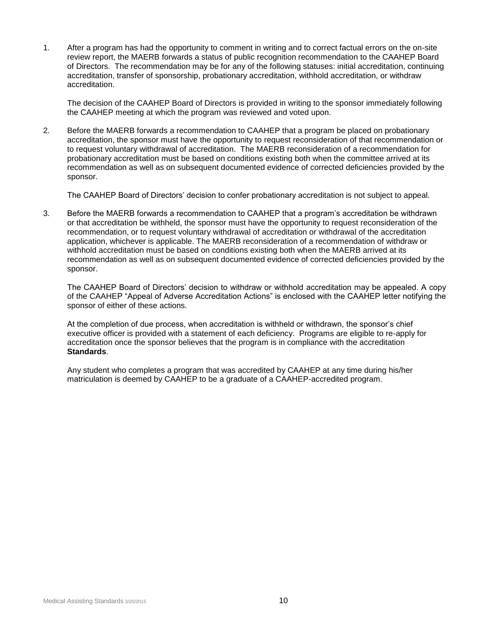1. After a program has had the opportunity to comment in writing and to correct factual errors on the on-site review report, the MAERB forwards a status of public recognition recommendation to the CAAHEP Board of Directors. The recommendation may be for any of the following statuses: initial accreditation, continuing accreditation, transfer of sponsorship, probationary accreditation, withhold accreditation, or withdraw accreditation.

The decision of the CAAHEP Board of Directors is provided in writing to the sponsor immediately following the CAAHEP meeting at which the program was reviewed and voted upon.

2. Before the MAERB forwards a recommendation to CAAHEP that a program be placed on probationary accreditation, the sponsor must have the opportunity to request reconsideration of that recommendation or to request voluntary withdrawal of accreditation. The MAERB reconsideration of a recommendation for probationary accreditation must be based on conditions existing both when the committee arrived at its recommendation as well as on subsequent documented evidence of corrected deficiencies provided by the sponsor.

The CAAHEP Board of Directors' decision to confer probationary accreditation is not subject to appeal.

3. Before the MAERB forwards a recommendation to CAAHEP that a program's accreditation be withdrawn or that accreditation be withheld, the sponsor must have the opportunity to request reconsideration of the recommendation, or to request voluntary withdrawal of accreditation or withdrawal of the accreditation application, whichever is applicable. The MAERB reconsideration of a recommendation of withdraw or withhold accreditation must be based on conditions existing both when the MAERB arrived at its recommendation as well as on subsequent documented evidence of corrected deficiencies provided by the sponsor.

The CAAHEP Board of Directors' decision to withdraw or withhold accreditation may be appealed. A copy of the CAAHEP "Appeal of Adverse Accreditation Actions" is enclosed with the CAAHEP letter notifying the sponsor of either of these actions.

At the completion of due process, when accreditation is withheld or withdrawn, the sponsor's chief executive officer is provided with a statement of each deficiency. Programs are eligible to re-apply for accreditation once the sponsor believes that the program is in compliance with the accreditation **Standards**.

Any student who completes a program that was accredited by CAAHEP at any time during his/her matriculation is deemed by CAAHEP to be a graduate of a CAAHEP-accredited program.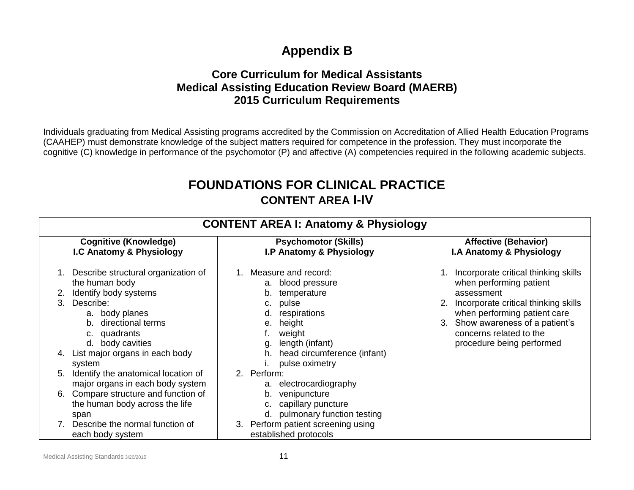# **Appendix B**

## **Core Curriculum for Medical Assistants Medical Assisting Education Review Board (MAERB) 2015 Curriculum Requirements**

Individuals graduating from Medical Assisting programs accredited by the Commission on Accreditation of Allied Health Education Programs (CAAHEP) must demonstrate knowledge of the subject matters required for competence in the profession. They must incorporate the cognitive (C) knowledge in performance of the psychomotor (P) and affective (A) competencies required in the following academic subjects.

# **FOUNDATIONS FOR CLINICAL PRACTICE CONTENT AREA I-IV**

| <b>CONTENT AREA I: Anatomy &amp; Physiology</b>                                                                                                                                                                                                                                                                                                                                                                                |                                                                                                                                                                                                                                                                                                                                                           |                                                                                                                                                                                                                                                      |
|--------------------------------------------------------------------------------------------------------------------------------------------------------------------------------------------------------------------------------------------------------------------------------------------------------------------------------------------------------------------------------------------------------------------------------|-----------------------------------------------------------------------------------------------------------------------------------------------------------------------------------------------------------------------------------------------------------------------------------------------------------------------------------------------------------|------------------------------------------------------------------------------------------------------------------------------------------------------------------------------------------------------------------------------------------------------|
| <b>Cognitive (Knowledge)</b><br>I.C Anatomy & Physiology                                                                                                                                                                                                                                                                                                                                                                       | <b>Psychomotor (Skills)</b><br>I.P Anatomy & Physiology                                                                                                                                                                                                                                                                                                   | <b>Affective (Behavior)</b><br>I.A Anatomy & Physiology                                                                                                                                                                                              |
| Describe structural organization of<br>the human body<br>Identify body systems<br>Describe:<br>a. body planes<br>b. directional terms<br>c. quadrants<br>d. body cavities<br>List major organs in each body<br>system<br>Identify the anatomical location of<br>5.<br>major organs in each body system<br>Compare structure and function of<br>6.<br>the human body across the life<br>span<br>Describe the normal function of | 1. Measure and record:<br>a. blood pressure<br>temperature<br>b.<br>pulse<br>respirations<br>height<br>е.<br>weight<br>length (infant)<br>head circumference (infant)<br>pulse oximetry<br>2. Perform:<br>electrocardiography<br>a.<br>venipuncture<br>b.<br>capillary puncture<br>d. pulmonary function testing<br>Perform patient screening using<br>3. | Incorporate critical thinking skills<br>when performing patient<br>assessment<br>Incorporate critical thinking skills<br>when performing patient care<br>Show awareness of a patient's<br>3.<br>concerns related to the<br>procedure being performed |
| each body system                                                                                                                                                                                                                                                                                                                                                                                                               | established protocols                                                                                                                                                                                                                                                                                                                                     |                                                                                                                                                                                                                                                      |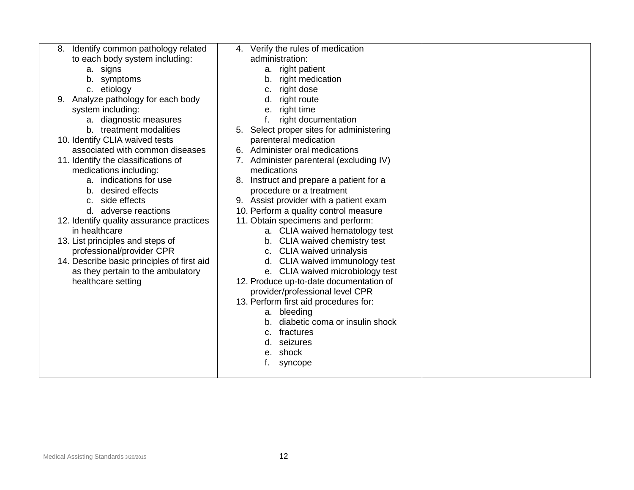| Identify common pathology related          | 4. Verify the rules of medication        |  |
|--------------------------------------------|------------------------------------------|--|
| to each body system including:             | administration:                          |  |
| a. signs                                   | a. right patient                         |  |
| b. symptoms                                | right medication<br>b.                   |  |
| c. etiology                                | right dose<br>c.                         |  |
| Analyze pathology for each body<br>9.      | right route<br>d.                        |  |
| system including:                          | e. right time                            |  |
| a. diagnostic measures                     | right documentation                      |  |
| b. treatment modalities                    | 5. Select proper sites for administering |  |
| 10. Identify CLIA waived tests             | parenteral medication                    |  |
| associated with common diseases            | 6. Administer oral medications           |  |
| 11. Identify the classifications of        | 7. Administer parenteral (excluding IV)  |  |
| medications including:                     | medications                              |  |
| a. indications for use                     | 8. Instruct and prepare a patient for a  |  |
| b. desired effects                         | procedure or a treatment                 |  |
| side effects<br>C.                         | 9. Assist provider with a patient exam   |  |
| d. adverse reactions                       | 10. Perform a quality control measure    |  |
| 12. Identify quality assurance practices   | 11. Obtain specimens and perform:        |  |
| in healthcare                              | a. CLIA waived hematology test           |  |
| 13. List principles and steps of           | b. CLIA waived chemistry test            |  |
| professional/provider CPR                  | c. CLIA waived urinalysis                |  |
| 14. Describe basic principles of first aid | d. CLIA waived immunology test           |  |
| as they pertain to the ambulatory          | e. CLIA waived microbiology test         |  |
| healthcare setting                         | 12. Produce up-to-date documentation of  |  |
|                                            | provider/professional level CPR          |  |
|                                            | 13. Perform first aid procedures for:    |  |
|                                            | bleeding<br>а.                           |  |
|                                            | diabetic coma or insulin shock<br>b.     |  |
|                                            | fractures<br>c.                          |  |
|                                            | seizures<br>d.                           |  |
|                                            | shock<br>е.                              |  |
|                                            | syncope                                  |  |
|                                            |                                          |  |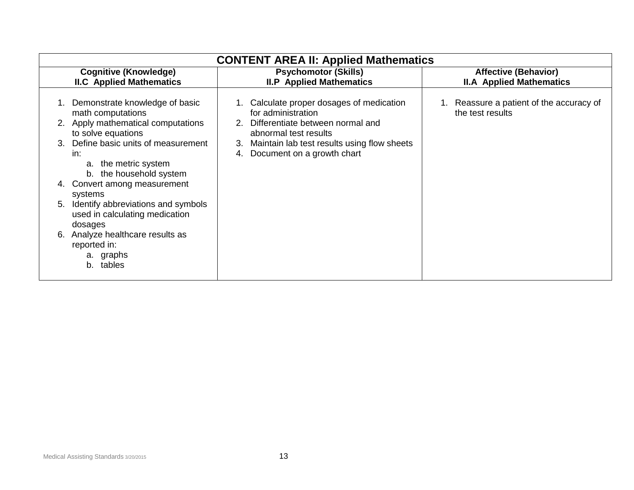| <b>CONTENT AREA II: Applied Mathematics</b>                                                                                                                                                                                                                                                                                                                                                                                                     |                                                                                                                                                                                                                             |                                                                |
|-------------------------------------------------------------------------------------------------------------------------------------------------------------------------------------------------------------------------------------------------------------------------------------------------------------------------------------------------------------------------------------------------------------------------------------------------|-----------------------------------------------------------------------------------------------------------------------------------------------------------------------------------------------------------------------------|----------------------------------------------------------------|
| <b>Cognitive (Knowledge)</b><br><b>II.C</b> Applied Mathematics                                                                                                                                                                                                                                                                                                                                                                                 | <b>Psychomotor (Skills)</b><br><b>II.P</b> Applied Mathematics                                                                                                                                                              | <b>Affective (Behavior)</b><br><b>II.A Applied Mathematics</b> |
| 1. Demonstrate knowledge of basic<br>math computations<br>2. Apply mathematical computations<br>to solve equations<br>Define basic units of measurement<br>in:<br>the metric system<br>a.<br>the household system<br>b.<br>4. Convert among measurement<br>systems<br>Identify abbreviations and symbols<br>5.<br>used in calculating medication<br>dosages<br>Analyze healthcare results as<br>6.<br>reported in:<br>a. graphs<br>tables<br>b. | 1. Calculate proper dosages of medication<br>for administration<br>Differentiate between normal and<br>2.<br>abnormal test results<br>Maintain lab test results using flow sheets<br>3.<br>Document on a growth chart<br>4. | 1. Reassure a patient of the accuracy of<br>the test results   |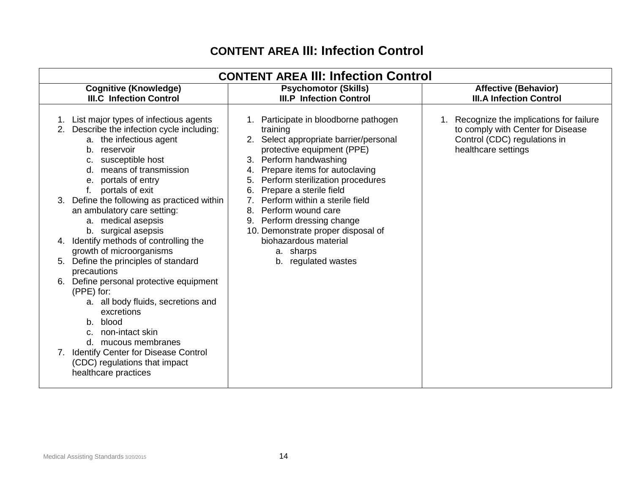# **CONTENT AREA III: Infection Control**

| <b>CONTENT AREA III: Infection Control</b>                                                                                                                                                                                                                                                                                                                                                                                                                                                                                                                                                                                                                                                                                                                                              |                                                                                                                                                                                                                                                                                                                                                                                                                                                                      |                                                                                                                                    |
|-----------------------------------------------------------------------------------------------------------------------------------------------------------------------------------------------------------------------------------------------------------------------------------------------------------------------------------------------------------------------------------------------------------------------------------------------------------------------------------------------------------------------------------------------------------------------------------------------------------------------------------------------------------------------------------------------------------------------------------------------------------------------------------------|----------------------------------------------------------------------------------------------------------------------------------------------------------------------------------------------------------------------------------------------------------------------------------------------------------------------------------------------------------------------------------------------------------------------------------------------------------------------|------------------------------------------------------------------------------------------------------------------------------------|
| <b>Cognitive (Knowledge)</b><br><b>III.C Infection Control</b>                                                                                                                                                                                                                                                                                                                                                                                                                                                                                                                                                                                                                                                                                                                          | <b>Psychomotor (Skills)</b><br><b>III.P Infection Control</b>                                                                                                                                                                                                                                                                                                                                                                                                        | <b>Affective (Behavior)</b><br><b>III.A Infection Control</b>                                                                      |
| 1. List major types of infectious agents<br>2. Describe the infection cycle including:<br>a. the infectious agent<br>reservoir<br>b.<br>susceptible host<br>c.<br>means of transmission<br>d.<br>portals of entry<br>е.<br>portals of exit<br>Define the following as practiced within<br>3.<br>an ambulatory care setting:<br>a. medical asepsis<br>b. surgical asepsis<br>Identify methods of controlling the<br>4.<br>growth of microorganisms<br>Define the principles of standard<br>5.<br>precautions<br>Define personal protective equipment<br>(PPE) for:<br>a. all body fluids, secretions and<br>excretions<br>blood<br>b.<br>non-intact skin<br>C.<br>d. mucous membranes<br>7. Identify Center for Disease Control<br>(CDC) regulations that impact<br>healthcare practices | 1. Participate in bloodborne pathogen<br>training<br>2. Select appropriate barrier/personal<br>protective equipment (PPE)<br>3. Perform handwashing<br>Prepare items for autoclaving<br>4.<br>Perform sterilization procedures<br>5.<br>Prepare a sterile field<br>6.<br>Perform within a sterile field<br>Perform wound care<br>8.<br>9. Perform dressing change<br>10. Demonstrate proper disposal of<br>biohazardous material<br>a. sharps<br>b. regulated wastes | Recognize the implications for failure<br>to comply with Center for Disease<br>Control (CDC) regulations in<br>healthcare settings |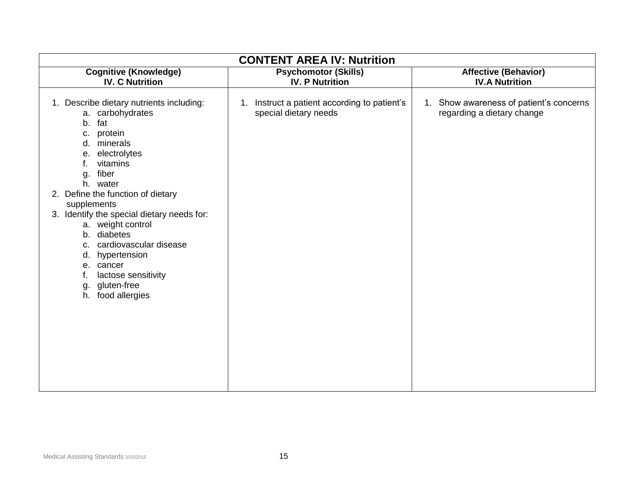| <b>CONTENT AREA IV: Nutrition</b>                                                                                                                                                                                                                                               |                                                                       |                                                                       |
|---------------------------------------------------------------------------------------------------------------------------------------------------------------------------------------------------------------------------------------------------------------------------------|-----------------------------------------------------------------------|-----------------------------------------------------------------------|
| <b>Cognitive (Knowledge)</b><br><b>IV. C Nutrition</b>                                                                                                                                                                                                                          | <b>Psychomotor (Skills)</b><br><b>IV. P Nutrition</b>                 | <b>Affective (Behavior)</b><br><b>IV.A Nutrition</b>                  |
| 1. Describe dietary nutrients including:<br>a. carbohydrates<br>fat<br>b.<br>c. protein<br>minerals<br>d.<br>electrolytes<br>е.<br>vitamins<br>f.<br>fiber<br>g.<br>h. water                                                                                                    | 1. Instruct a patient according to patient's<br>special dietary needs | 1. Show awareness of patient's concerns<br>regarding a dietary change |
| 2. Define the function of dietary<br>supplements<br>3. Identify the special dietary needs for:<br>a. weight control<br>b. diabetes<br>cardiovascular disease<br>c.<br>hypertension<br>d.<br>e. cancer<br>lactose sensitivity<br>f.<br>gluten-free<br>g.<br>food allergies<br>h. |                                                                       |                                                                       |
|                                                                                                                                                                                                                                                                                 |                                                                       |                                                                       |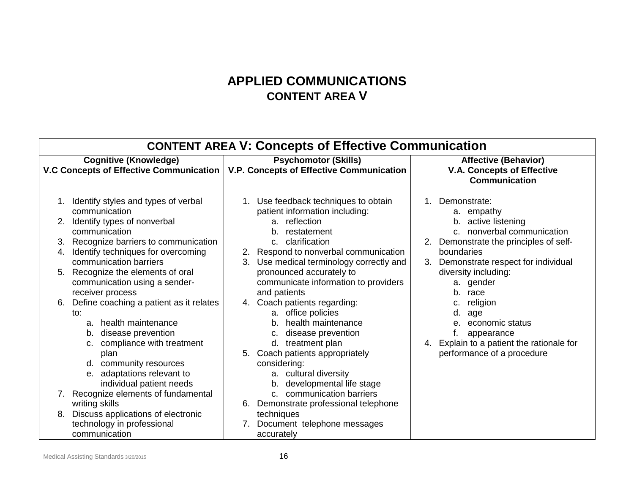# **APPLIED COMMUNICATIONS CONTENT AREA V**

| <b>CONTENT AREA V: Concepts of Effective Communication</b>                                                                                                                                                                                                                                                                                                                                                                                                                                                                                                                                                                                                                                                      |                                                                                                                                                                                                                                                                                                                                                                                                                                                                                                                                                                                                                                                                                                                              |                                                                                                                                                                                                                                                                                                                                                                             |
|-----------------------------------------------------------------------------------------------------------------------------------------------------------------------------------------------------------------------------------------------------------------------------------------------------------------------------------------------------------------------------------------------------------------------------------------------------------------------------------------------------------------------------------------------------------------------------------------------------------------------------------------------------------------------------------------------------------------|------------------------------------------------------------------------------------------------------------------------------------------------------------------------------------------------------------------------------------------------------------------------------------------------------------------------------------------------------------------------------------------------------------------------------------------------------------------------------------------------------------------------------------------------------------------------------------------------------------------------------------------------------------------------------------------------------------------------------|-----------------------------------------------------------------------------------------------------------------------------------------------------------------------------------------------------------------------------------------------------------------------------------------------------------------------------------------------------------------------------|
| <b>Cognitive (Knowledge)</b><br>V.C Concepts of Effective Communication                                                                                                                                                                                                                                                                                                                                                                                                                                                                                                                                                                                                                                         | <b>Psychomotor (Skills)</b><br>V.P. Concepts of Effective Communication                                                                                                                                                                                                                                                                                                                                                                                                                                                                                                                                                                                                                                                      | <b>Affective (Behavior)</b><br><b>V.A. Concepts of Effective</b><br><b>Communication</b>                                                                                                                                                                                                                                                                                    |
| 1. Identify styles and types of verbal<br>communication<br>Identify types of nonverbal<br>communication<br>Recognize barriers to communication<br>3.<br>Identify techniques for overcoming<br>4.<br>communication barriers<br>5. Recognize the elements of oral<br>communication using a sender-<br>receiver process<br>Define coaching a patient as it relates<br>to:<br>health maintenance<br>a.<br>disease prevention<br>b.<br>compliance with treatment<br>plan<br>d. community resources<br>e. adaptations relevant to<br>individual patient needs<br>Recognize elements of fundamental<br>7.<br>writing skills<br>Discuss applications of electronic<br>8.<br>technology in professional<br>communication | 1. Use feedback techniques to obtain<br>patient information including:<br>a. reflection<br>restatement<br>b.<br>clarification<br>C <sub>1</sub><br>2. Respond to nonverbal communication<br>Use medical terminology correctly and<br>3.<br>pronounced accurately to<br>communicate information to providers<br>and patients<br>4. Coach patients regarding:<br>a. office policies<br>health maintenance<br>b <sub>1</sub><br>disease prevention<br>C.<br>d. treatment plan<br>5. Coach patients appropriately<br>considering:<br>a. cultural diversity<br>developmental life stage<br>b.<br>c. communication barriers<br>Demonstrate professional telephone<br>6.<br>techniques<br>Document telephone messages<br>accurately | 1. Demonstrate:<br>a. empathy<br>active listening<br>b.<br>nonverbal communication<br>2. Demonstrate the principles of self-<br>boundaries<br>Demonstrate respect for individual<br>3.<br>diversity including:<br>a. gender<br>b. race<br>religion<br>d.<br>age<br>economic status<br>appearance<br>4. Explain to a patient the rationale for<br>performance of a procedure |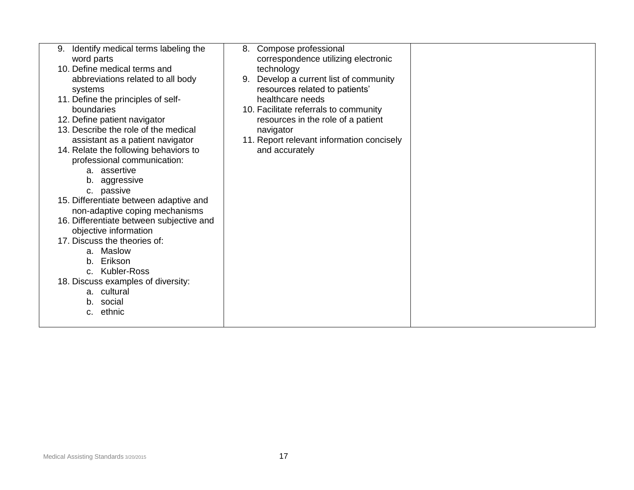| Identify medical terms labeling the<br>9.<br>word parts<br>10. Define medical terms and<br>abbreviations related to all body<br>systems<br>11. Define the principles of self-<br>boundaries<br>12. Define patient navigator<br>13. Describe the role of the medical<br>assistant as a patient navigator<br>14. Relate the following behaviors to<br>professional communication:<br>a. assertive<br>b. aggressive<br>c. passive<br>15. Differentiate between adaptive and<br>non-adaptive coping mechanisms<br>16. Differentiate between subjective and<br>objective information<br>17. Discuss the theories of:<br>a. Maslow<br>b. Erikson<br>c. Kubler-Ross<br>18. Discuss examples of diversity:<br>a. cultural<br>b. social<br>c. ethnic | Compose professional<br>8.<br>correspondence utilizing electronic<br>technology<br>Develop a current list of community<br>9.<br>resources related to patients'<br>healthcare needs<br>10. Facilitate referrals to community<br>resources in the role of a patient<br>navigator<br>11. Report relevant information concisely<br>and accurately |  |
|---------------------------------------------------------------------------------------------------------------------------------------------------------------------------------------------------------------------------------------------------------------------------------------------------------------------------------------------------------------------------------------------------------------------------------------------------------------------------------------------------------------------------------------------------------------------------------------------------------------------------------------------------------------------------------------------------------------------------------------------|-----------------------------------------------------------------------------------------------------------------------------------------------------------------------------------------------------------------------------------------------------------------------------------------------------------------------------------------------|--|
|                                                                                                                                                                                                                                                                                                                                                                                                                                                                                                                                                                                                                                                                                                                                             |                                                                                                                                                                                                                                                                                                                                               |  |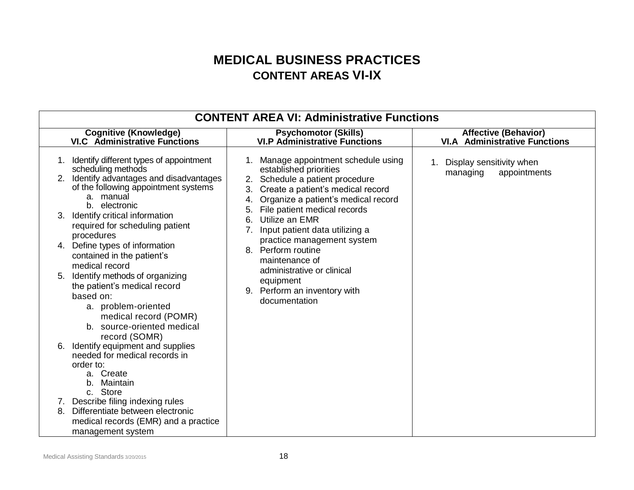# **MEDICAL BUSINESS PRACTICES CONTENT AREAS VI-IX**

| <b>CONTENT AREA VI: Administrative Functions</b>                                                                                                                                                                                                                                                                                                                                                                                                                                                                                                                                                                                                                                                                                                                                                                      |                                                                                                                                                                                                                                                                                                                                                                                                                                                                            |                                                                     |
|-----------------------------------------------------------------------------------------------------------------------------------------------------------------------------------------------------------------------------------------------------------------------------------------------------------------------------------------------------------------------------------------------------------------------------------------------------------------------------------------------------------------------------------------------------------------------------------------------------------------------------------------------------------------------------------------------------------------------------------------------------------------------------------------------------------------------|----------------------------------------------------------------------------------------------------------------------------------------------------------------------------------------------------------------------------------------------------------------------------------------------------------------------------------------------------------------------------------------------------------------------------------------------------------------------------|---------------------------------------------------------------------|
| <b>Cognitive (Knowledge)</b><br><b>VI.C</b> Administrative Functions                                                                                                                                                                                                                                                                                                                                                                                                                                                                                                                                                                                                                                                                                                                                                  | <b>Psychomotor (Skills)</b><br><b>VI.P Administrative Functions</b>                                                                                                                                                                                                                                                                                                                                                                                                        | <b>Affective (Behavior)</b><br><b>VI.A</b> Administrative Functions |
| Identify different types of appointment<br>1.<br>scheduling methods<br>2. Identify advantages and disadvantages<br>of the following appointment systems<br>a. manual<br>b. electronic<br>Identify critical information<br>required for scheduling patient<br>procedures<br>Define types of information<br>4.<br>contained in the patient's<br>medical record<br>Identify methods of organizing<br>the patient's medical record<br>based on:<br>a. problem-oriented<br>medical record (POMR)<br>b. source-oriented medical<br>record (SOMR)<br>Identify equipment and supplies<br>6.<br>needed for medical records in<br>order to:<br>a. Create<br>b. Maintain<br>c. Store<br>7. Describe filing indexing rules<br>Differentiate between electronic<br>8.<br>medical records (EMR) and a practice<br>management system | 1. Manage appointment schedule using<br>established priorities<br>Schedule a patient procedure<br>2.<br>Create a patient's medical record<br>3.<br>Organize a patient's medical record<br>4.<br>File patient medical records<br>5.<br>Utilize an EMR<br>6.<br>Input patient data utilizing a<br>7.<br>practice management system<br>Perform routine<br>8.<br>maintenance of<br>administrative or clinical<br>equipment<br>Perform an inventory with<br>9.<br>documentation | Display sensitivity when<br>appointments<br>managing                |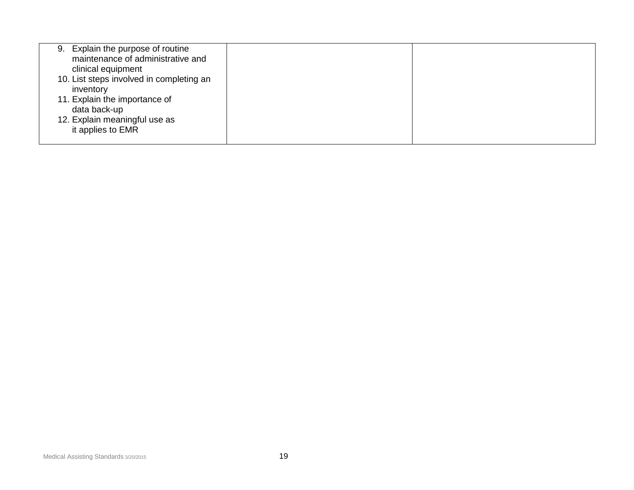| Explain the purpose of routine<br>9.<br>maintenance of administrative and<br>clinical equipment |  |
|-------------------------------------------------------------------------------------------------|--|
|                                                                                                 |  |
| 10. List steps involved in completing an                                                        |  |
| inventory                                                                                       |  |
| 11. Explain the importance of                                                                   |  |
| data back-up                                                                                    |  |
| 12. Explain meaningful use as                                                                   |  |
|                                                                                                 |  |
| it applies to EMR                                                                               |  |
|                                                                                                 |  |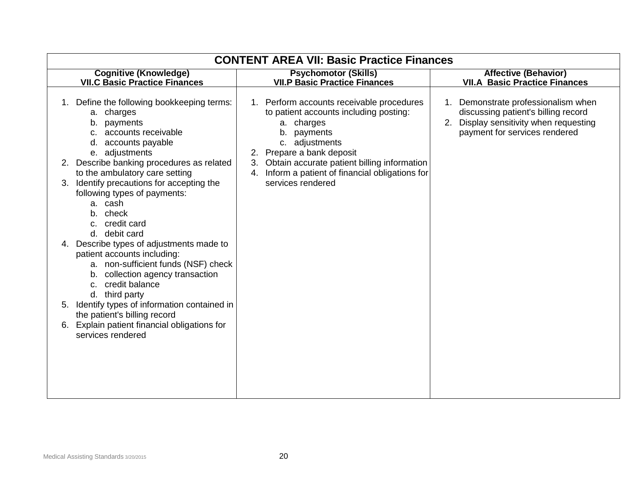| <b>CONTENT AREA VII: Basic Practice Finances</b>                                                                                                                                                                                                                                       |                                                                                                                                                                    |                                                                                                                                                       |
|----------------------------------------------------------------------------------------------------------------------------------------------------------------------------------------------------------------------------------------------------------------------------------------|--------------------------------------------------------------------------------------------------------------------------------------------------------------------|-------------------------------------------------------------------------------------------------------------------------------------------------------|
| <b>Cognitive (Knowledge)</b><br><b>VII.C Basic Practice Finances</b>                                                                                                                                                                                                                   | <b>Psychomotor (Skills)</b><br><b>VII.P Basic Practice Finances</b>                                                                                                | <b>Affective (Behavior)</b><br><b>VII.A Basic Practice Finances</b>                                                                                   |
| 1. Define the following bookkeeping terms:<br>a. charges<br>payments<br>b.<br>accounts receivable<br>accounts payable<br>d.<br>e. adjustments                                                                                                                                          | 1. Perform accounts receivable procedures<br>to patient accounts including posting:<br>a. charges<br>payments<br>b.<br>c. adjustments<br>2. Prepare a bank deposit | Demonstrate professionalism when<br>discussing patient's billing record<br>Display sensitivity when requesting<br>2.<br>payment for services rendered |
| 2. Describe banking procedures as related<br>to the ambulatory care setting<br>Identify precautions for accepting the<br>3.<br>following types of payments:<br>a. cash<br>b. check<br>c. credit card<br>d. debit card                                                                  | 3. Obtain accurate patient billing information<br>Inform a patient of financial obligations for<br>4.<br>services rendered                                         |                                                                                                                                                       |
| 4. Describe types of adjustments made to<br>patient accounts including:<br>a. non-sufficient funds (NSF) check<br>collection agency transaction<br>b.<br>credit balance<br>C.<br>third party<br>d.<br>Identify types of information contained in<br>5.<br>the patient's billing record |                                                                                                                                                                    |                                                                                                                                                       |
| 6. Explain patient financial obligations for<br>services rendered                                                                                                                                                                                                                      |                                                                                                                                                                    |                                                                                                                                                       |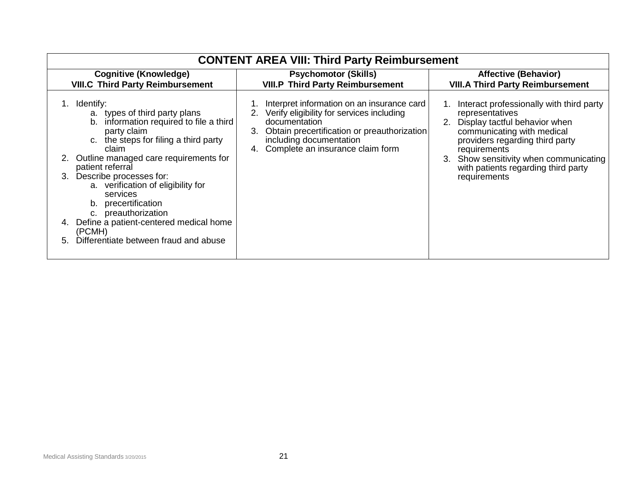| <b>CONTENT AREA VIII: Third Party Reimbursement</b>                                                                                                                                                                                                                                                                                                                                                                                                          |                                                                                                                                                                                                                                                                                  |                                                                                                                                                                                                                                                                                                                              |
|--------------------------------------------------------------------------------------------------------------------------------------------------------------------------------------------------------------------------------------------------------------------------------------------------------------------------------------------------------------------------------------------------------------------------------------------------------------|----------------------------------------------------------------------------------------------------------------------------------------------------------------------------------------------------------------------------------------------------------------------------------|------------------------------------------------------------------------------------------------------------------------------------------------------------------------------------------------------------------------------------------------------------------------------------------------------------------------------|
| <b>Cognitive (Knowledge)</b>                                                                                                                                                                                                                                                                                                                                                                                                                                 | <b>Psychomotor (Skills)</b>                                                                                                                                                                                                                                                      | <b>Affective (Behavior)</b>                                                                                                                                                                                                                                                                                                  |
| <b>VIII.C Third Party Reimbursement</b><br>Identify:<br>a. types of third party plans<br>information required to file a third<br>b.<br>party claim<br>the steps for filing a third party<br>C.<br>claim<br>Outline managed care requirements for<br>patient referral<br>Describe processes for:<br>3.<br>a. verification of eligibility for<br>services<br>precertification<br>b.<br>c. preauthorization<br>Define a patient-centered medical home<br>(PCMH) | <b>VIII.P Third Party Reimbursement</b><br>Interpret information on an insurance card<br>2. Verify eligibility for services including<br>documentation<br>Obtain precertification or preauthorization<br>3.<br>including documentation<br>Complete an insurance claim form<br>4. | <b>VIII.A Third Party Reimbursement</b><br>Interact professionally with third party<br>representatives<br>Display tactful behavior when<br>communicating with medical<br>providers regarding third party<br>requirements<br>Show sensitivity when communicating<br>3.<br>with patients regarding third party<br>requirements |
| Differentiate between fraud and abuse<br>5.                                                                                                                                                                                                                                                                                                                                                                                                                  |                                                                                                                                                                                                                                                                                  |                                                                                                                                                                                                                                                                                                                              |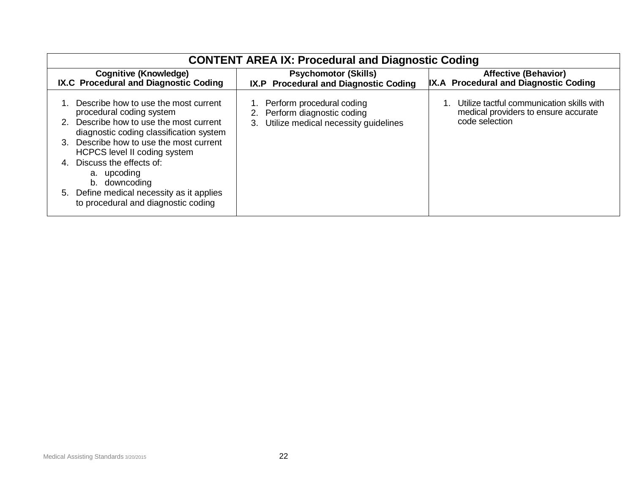| <b>CONTENT AREA IX: Procedural and Diagnostic Coding</b>                                                                                                                                                                                                                                                                                                                                             |                                                                                                            |                                                                                                     |
|------------------------------------------------------------------------------------------------------------------------------------------------------------------------------------------------------------------------------------------------------------------------------------------------------------------------------------------------------------------------------------------------------|------------------------------------------------------------------------------------------------------------|-----------------------------------------------------------------------------------------------------|
| Cognitive (Knowledge)<br>IX.C Procedural and Diagnostic Coding                                                                                                                                                                                                                                                                                                                                       | <b>Psychomotor (Skills)</b><br>IX.P Procedural and Diagnostic Coding                                       | <b>Affective (Behavior)</b><br>IX.A Procedural and Diagnostic Coding                                |
| Describe how to use the most current<br>procedural coding system<br>Describe how to use the most current<br>diagnostic coding classification system<br>Describe how to use the most current<br>$\mathcal{R}$<br>HCPCS level II coding system<br>Discuss the effects of:<br>4.<br>a. upcoding<br>downcoding<br>b.<br>5. Define medical necessity as it applies<br>to procedural and diagnostic coding | Perform procedural coding<br>Perform diagnostic coding<br>2.<br>Utilize medical necessity guidelines<br>3. | Utilize tactful communication skills with<br>medical providers to ensure accurate<br>code selection |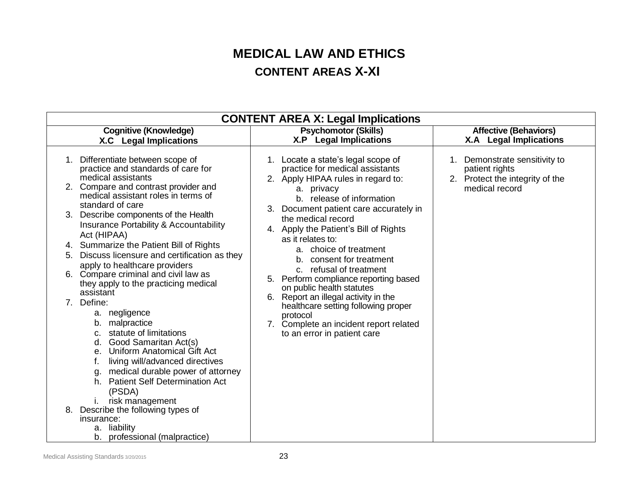# **MEDICAL LAW AND ETHICS CONTENT AREAS X-XI**

| <b>CONTENT AREA X: Legal Implications</b>                                                                                                                                                                                                                                                                                                                                                                                                 |                                                                                                                                                                                               |                                                                                 |  |
|-------------------------------------------------------------------------------------------------------------------------------------------------------------------------------------------------------------------------------------------------------------------------------------------------------------------------------------------------------------------------------------------------------------------------------------------|-----------------------------------------------------------------------------------------------------------------------------------------------------------------------------------------------|---------------------------------------------------------------------------------|--|
| <b>Cognitive (Knowledge)</b>                                                                                                                                                                                                                                                                                                                                                                                                              | <b>Psychomotor (Skills)</b>                                                                                                                                                                   | <b>Affective (Behaviors)</b>                                                    |  |
| X.C Legal Implications                                                                                                                                                                                                                                                                                                                                                                                                                    | <b>X.P</b> Legal Implications                                                                                                                                                                 | <b>X.A</b> Legal Implications                                                   |  |
| Differentiate between scope of<br>1.<br>practice and standards of care for<br>medical assistants                                                                                                                                                                                                                                                                                                                                          | 1. Locate a state's legal scope of<br>practice for medical assistants<br>2. Apply HIPAA rules in regard to:                                                                                   | Demonstrate sensitivity to<br>patient rights<br>2. Protect the integrity of the |  |
| 2. Compare and contrast provider and<br>medical assistant roles in terms of<br>standard of care                                                                                                                                                                                                                                                                                                                                           | a. privacy<br>b. release of information<br>3. Document patient care accurately in<br>the medical record<br>4. Apply the Patient's Bill of Rights<br>as it relates to:                         | medical record                                                                  |  |
| Describe components of the Health<br>3.<br>Insurance Portability & Accountability<br>Act (HIPAA)                                                                                                                                                                                                                                                                                                                                          |                                                                                                                                                                                               |                                                                                 |  |
| 4. Summarize the Patient Bill of Rights                                                                                                                                                                                                                                                                                                                                                                                                   | a. choice of treatment                                                                                                                                                                        |                                                                                 |  |
| Discuss licensure and certification as they<br>5.<br>apply to healthcare providers<br>6. Compare criminal and civil law as<br>they apply to the practicing medical                                                                                                                                                                                                                                                                        | consent for treatment<br>b.<br>c. refusal of treatment<br>5. Perform compliance reporting based                                                                                               |                                                                                 |  |
| assistant<br>Define:<br>a. negligence<br>malpractice<br>b.<br>statute of limitations<br>c.<br>Good Samaritan Act(s)<br>d.<br>Uniform Anatomical Gift Act<br>е.<br>living will/advanced directives<br>t.<br>medical durable power of attorney<br>g.<br><b>Patient Self Determination Act</b><br>h.<br>(PSDA)<br>risk management<br>Describe the following types of<br>8.<br>insurance:<br>a. liability<br>professional (malpractice)<br>b. | on public health statutes<br>6. Report an illegal activity in the<br>healthcare setting following proper<br>protocol<br>7. Complete an incident report related<br>to an error in patient care |                                                                                 |  |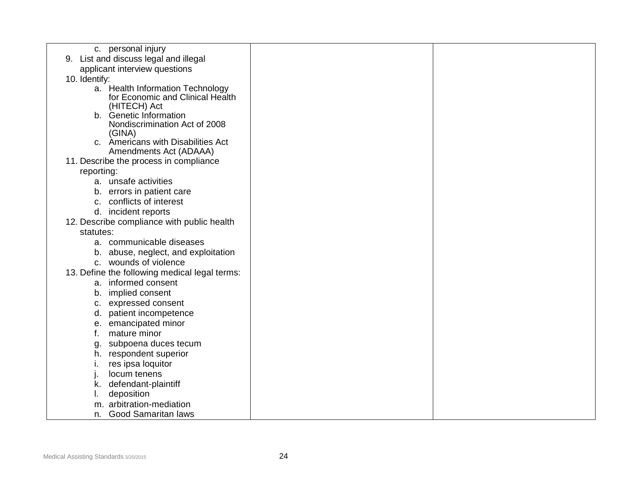| c. personal injury                            |  |
|-----------------------------------------------|--|
| List and discuss legal and illegal<br>9.      |  |
| applicant interview questions                 |  |
| 10. Identify:                                 |  |
| a. Health Information Technology              |  |
| for Economic and Clinical Health              |  |
| (HITECH) Act<br>b. Genetic Information        |  |
| Nondiscrimination Act of 2008                 |  |
| (GINA)                                        |  |
| c. Americans with Disabilities Act            |  |
| Amendments Act (ADAAA)                        |  |
| 11. Describe the process in compliance        |  |
| reporting:                                    |  |
| a. unsafe activities                          |  |
| b. errors in patient care                     |  |
| c. conflicts of interest                      |  |
| d. incident reports                           |  |
| 12. Describe compliance with public health    |  |
| statutes:                                     |  |
| a. communicable diseases                      |  |
| b. abuse, neglect, and exploitation           |  |
| c. wounds of violence                         |  |
| 13. Define the following medical legal terms: |  |
| a. informed consent                           |  |
| implied consent<br>b.                         |  |
| c. expressed consent                          |  |
| patient incompetence<br>d.                    |  |
| e. emancipated minor                          |  |
| mature minor<br>f.                            |  |
| subpoena duces tecum<br>g.                    |  |
| h. respondent superior                        |  |
| res ipsa loquitor<br>ι.                       |  |
| locum tenens                                  |  |
| defendant-plaintiff<br>ĸ.                     |  |
| deposition                                    |  |
| m. arbitration-mediation                      |  |
| <b>Good Samaritan laws</b><br>n.              |  |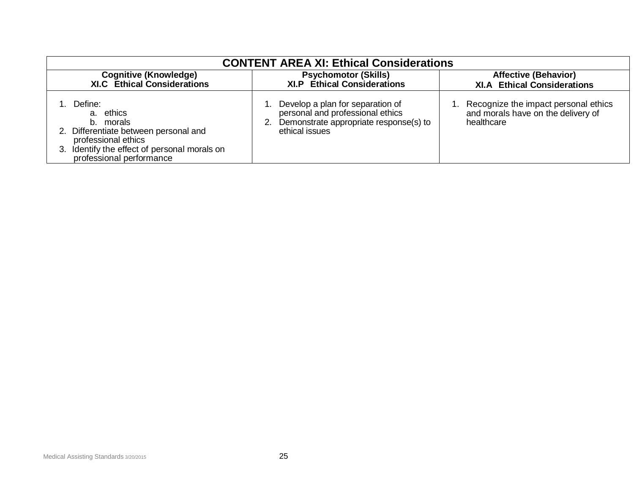| <b>CONTENT AREA XI: Ethical Considerations</b>                                                                                                                                   |                                                                                                                                        |                                                                                            |  |
|----------------------------------------------------------------------------------------------------------------------------------------------------------------------------------|----------------------------------------------------------------------------------------------------------------------------------------|--------------------------------------------------------------------------------------------|--|
| <b>Cognitive (Knowledge)</b><br><b>XI.C</b> Ethical Considerations                                                                                                               | <b>Psychomotor (Skills)</b><br><b>XI.P</b> Ethical Considerations                                                                      | <b>Affective (Behavior)</b><br><b>XI.A Ethical Considerations</b>                          |  |
| 1. Define:<br>a. ethics<br>b. morals<br>2. Differentiate between personal and<br>professional ethics<br>3. Identify the effect of personal morals on<br>professional performance | Develop a plan for separation of<br>personal and professional ethics<br>Demonstrate appropriate response(s) to<br>2.<br>ethical issues | . Recognize the impact personal ethics<br>and morals have on the delivery of<br>healthcare |  |